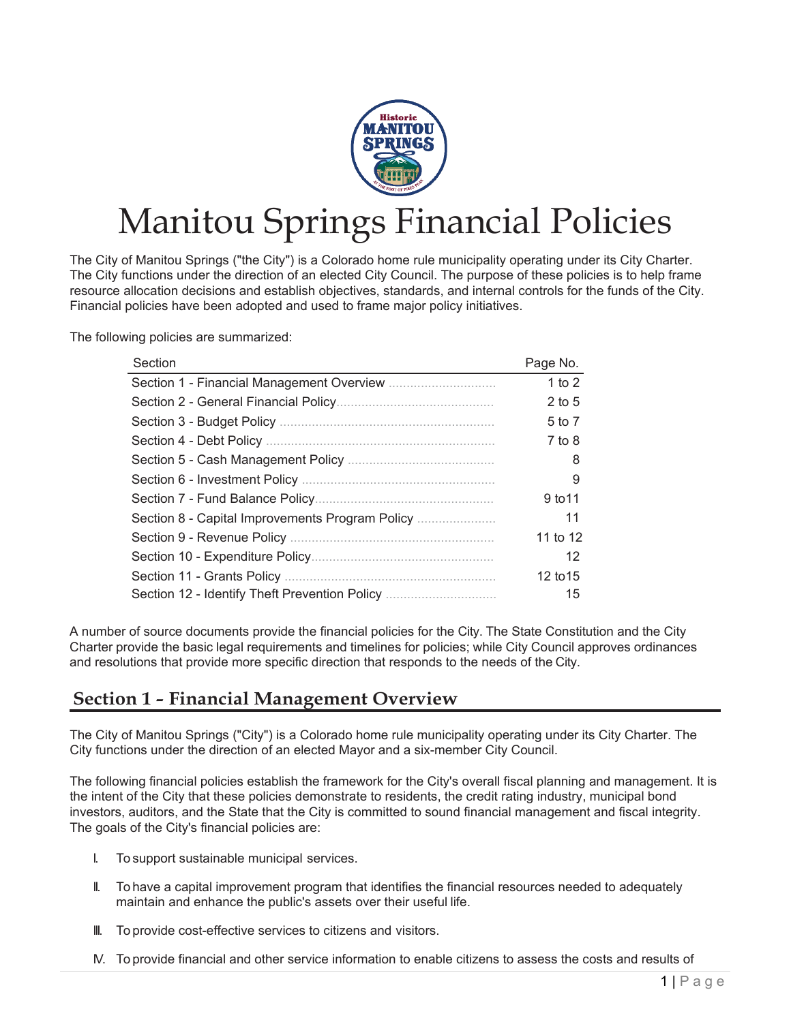

# Manitou Springs Financial Policies

The City of Manitou Springs ("the City") is a Colorado home rule municipality operating under its City Charter. The City functions under the direction of an elected City Council. The purpose of these policies is to help frame resource allocation decisions and establish objectives, standards, and internal controls for the funds of the City. Financial policies have been adopted and used to frame major policy initiatives.

The following policies are summarized:

| Section                                         | Page No. |
|-------------------------------------------------|----------|
|                                                 | 1 to 2   |
|                                                 | $2$ to 5 |
|                                                 | 5 to 7   |
|                                                 | $7$ to 8 |
|                                                 | 8        |
|                                                 | 9        |
|                                                 | 9 to 11  |
| Section 8 - Capital Improvements Program Policy | 11       |
|                                                 | 11 to 12 |
|                                                 | 12       |
|                                                 | 12 to 15 |
| Section 12 - Identify Theft Prevention Policy   | 15       |
|                                                 |          |

A number of source documents provide the financial policies for the City. The State Constitution and the City Charter provide the basic legal requirements and timelines for policies; while City Council approves ordinances and resolutions that provide more specific direction that responds to the needs of the City.

## **Section 1 - Financial Management Overview**

The City of Manitou Springs ("City") is a Colorado home rule municipality operating under its City Charter. The City functions under the direction of an elected Mayor and a six-member City Council.

The following financial policies establish the framework for the City's overall fiscal planning and management. It is the intent of the City that these policies demonstrate to residents, the credit rating industry, municipal bond investors, auditors, and the State that the City is committed to sound financial management and fiscal integrity. The goals of the City's financial policies are:

- I. To support sustainable municipal services.
- II. To have a capital improvement program that identifies the financial resources needed to adequately maintain and enhance the public's assets over their useful life.
- III. To provide cost-effective services to citizens and visitors.
- IV. To provide financial and other service information to enable citizens to assess the costs and results of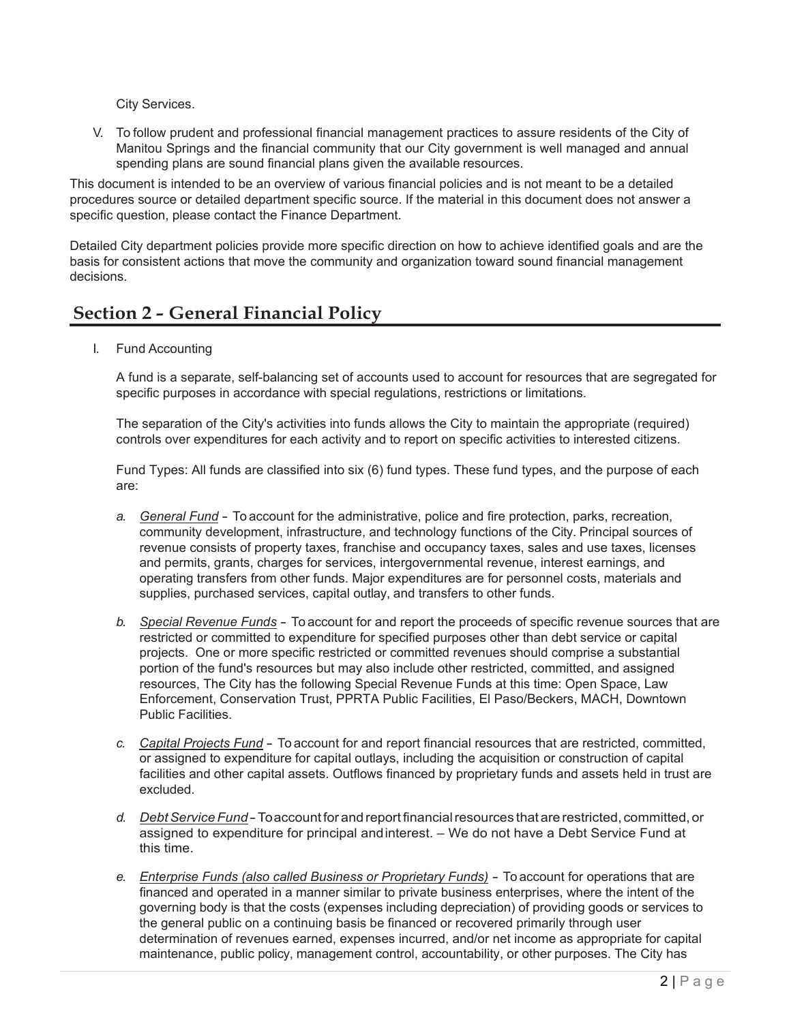City Services.

V. To follow prudent and professional financial management practices to assure residents of the City of Manitou Springs and the financial community that our City government is well managed and annual spending plans are sound financial plans given the available resources.

This document is intended to be an overview of various financial policies and is not meant to be a detailed procedures source or detailed department specific source. If the material in this document does not answer a specific question, please contact the Finance Department.

Detailed City department policies provide more specific direction on how to achieve identified goals and are the basis for consistent actions that move the community and organization toward sound financial management decisions.

# **Section 2 - General Financial Policy**

I. Fund Accounting

A fund is a separate, self-balancing set of accounts used to account for resources that are segregated for specific purposes in accordance with special regulations, restrictions or limitations.

The separation of the City's activities into funds allows the City to maintain the appropriate (required) controls over expenditures for each activity and to report on specific activities to interested citizens.

Fund Types: All funds are classified into six (6) fund types. These fund types, and the purpose of each are:

- *a. General Fund* To account for the administrative, police and fire protection, parks, recreation, community development, infrastructure, and technology functions of the City. Principal sources of revenue consists of property taxes, franchise and occupancy taxes, sales and use taxes, licenses and permits, grants, charges for services, intergovernmental revenue, interest earnings, and operating transfers from other funds. Major expenditures are for personnel costs, materials and supplies, purchased services, capital outlay, and transfers to other funds.
- *b. Special Revenue Funds* To account for and report the proceeds of specific revenue sources that are restricted or committed to expenditure for specified purposes other than debt service or capital projects. One or more specific restricted or committed revenues should comprise a substantial portion of the fund's resources but may also include other restricted, committed, and assigned resources, The City has the following Special Revenue Funds at this time: Open Space, Law Enforcement, Conservation Trust, PPRTA Public Facilities, El Paso/Beckers, MACH, Downtown Public Facilities.
- *c. Capital Projects Fund* To account for and report financial resources that are restricted, committed, or assigned to expenditure for capital outlays, including the acquisition or construction of capital facilities and other capital assets. Outflows financed by proprietary funds and assets held in trust are excluded.
- *d. DebtServiceFund* -Toaccount for and report financialresources that are restricted, committed, or assigned to expenditure for principal andinterest. – We do not have a Debt Service Fund at this time.
- *e. Enterprise Funds (also called Business or Proprietary Funds) -* To account for operations that are financed and operated in a manner similar to private business enterprises, where the intent of the governing body is that the costs (expenses including depreciation) of providing goods or services to the general public on a continuing basis be financed or recovered primarily through user determination of revenues earned, expenses incurred, and/or net income as appropriate for capital maintenance, public policy, management control, accountability, or other purposes. The City has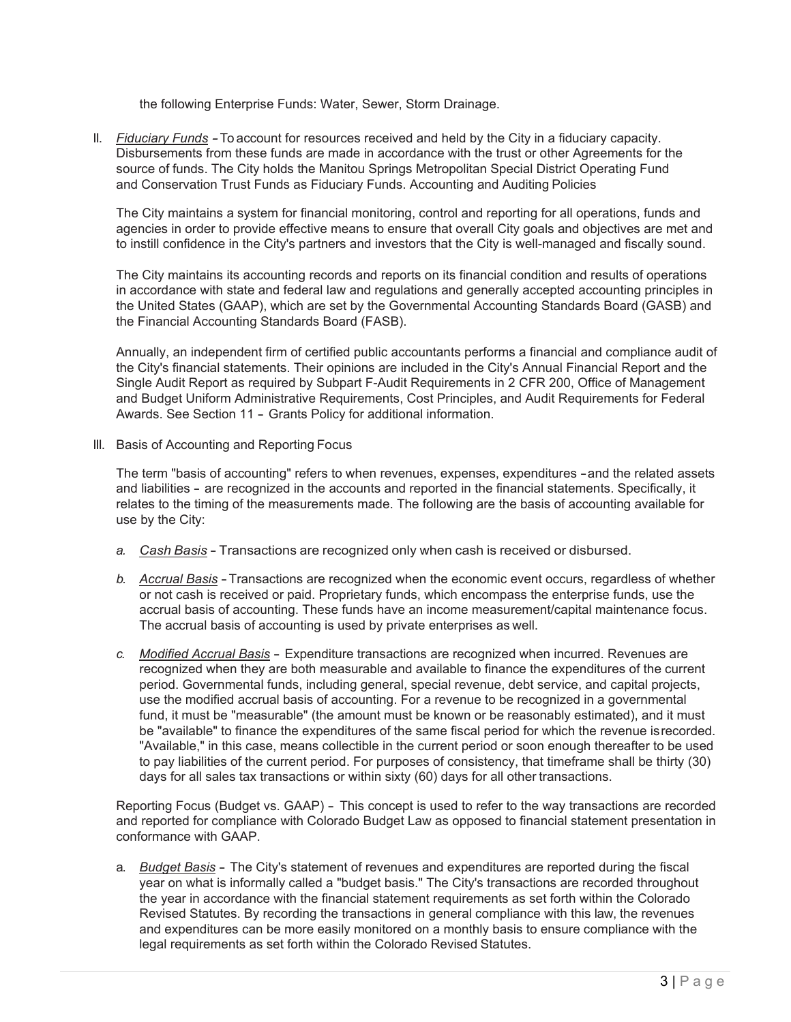the following Enterprise Funds: Water, Sewer, Storm Drainage.

II. *Fiduciary Funds -*To account for resources received and held by the City in a fiduciary capacity. Disbursements from these funds are made in accordance with the trust or other Agreements for the source of funds. The City holds the Manitou Springs Metropolitan Special District Operating Fund and Conservation Trust Funds as Fiduciary Funds. Accounting and Auditing Policies

The City maintains a system for financial monitoring, control and reporting for all operations, funds and agencies in order to provide effective means to ensure that overall City goals and objectives are met and to instill confidence in the City's partners and investors that the City is well-managed and fiscally sound.

The City maintains its accounting records and reports on its financial condition and results of operations in accordance with state and federal law and regulations and generally accepted accounting principles in the United States (GAAP), which are set by the Governmental Accounting Standards Board (GASB) and the Financial Accounting Standards Board (FASB).

Annually, an independent firm of certified public accountants performs a financial and compliance audit of the City's financial statements. Their opinions are included in the City's Annual Financial Report and the Single Audit Report as required by Subpart F-Audit Requirements in 2 CFR 200, Office of Management and Budget Uniform Administrative Requirements, Cost Principles, and Audit Requirements for Federal Awards. See Section 11 - Grants Policy for additional information.

III. Basis of Accounting and Reporting Focus

The term "basis of accounting" refers to when revenues, expenses, expenditures -and the related assets and liabilities - are recognized in the accounts and reported in the financial statements. Specifically, it relates to the timing of the measurements made. The following are the basis of accounting available for use by the City:

- *a. Cash Basis* Transactions are recognized only when cash is received or disbursed.
- *b. Accrual Basis* -Transactions are recognized when the economic event occurs, regardless of whether or not cash is received or paid. Proprietary funds, which encompass the enterprise funds, use the accrual basis of accounting. These funds have an income measurement/capital maintenance focus. The accrual basis of accounting is used by private enterprises as well.
- *c. Modified Accrual Basis* Expenditure transactions are recognized when incurred. Revenues are recognized when they are both measurable and available to finance the expenditures of the current period. Governmental funds, including general, special revenue, debt service, and capital projects, use the modified accrual basis of accounting. For a revenue to be recognized in a governmental fund, it must be "measurable" (the amount must be known or be reasonably estimated), and it must be "available" to finance the expenditures of the same fiscal period for which the revenue isrecorded. "Available," in this case, means collectible in the current period or soon enough thereafter to be used to pay liabilities of the current period. For purposes of consistency, that timeframe shall be thirty (30) days for all sales tax transactions or within sixty (60) days for all other transactions.

Reporting Focus (Budget vs. GAAP) - This concept is used to refer to the way transactions are recorded and reported for compliance with Colorado Budget Law as opposed to financial statement presentation in conformance with GAAP.

a. *Budget Basis* - The City's statement of revenues and expenditures are reported during the fiscal year on what is informally called a "budget basis." The City's transactions are recorded throughout the year in accordance with the financial statement requirements as set forth within the Colorado Revised Statutes. By recording the transactions in general compliance with this law, the revenues and expenditures can be more easily monitored on a monthly basis to ensure compliance with the legal requirements as set forth within the Colorado Revised Statutes.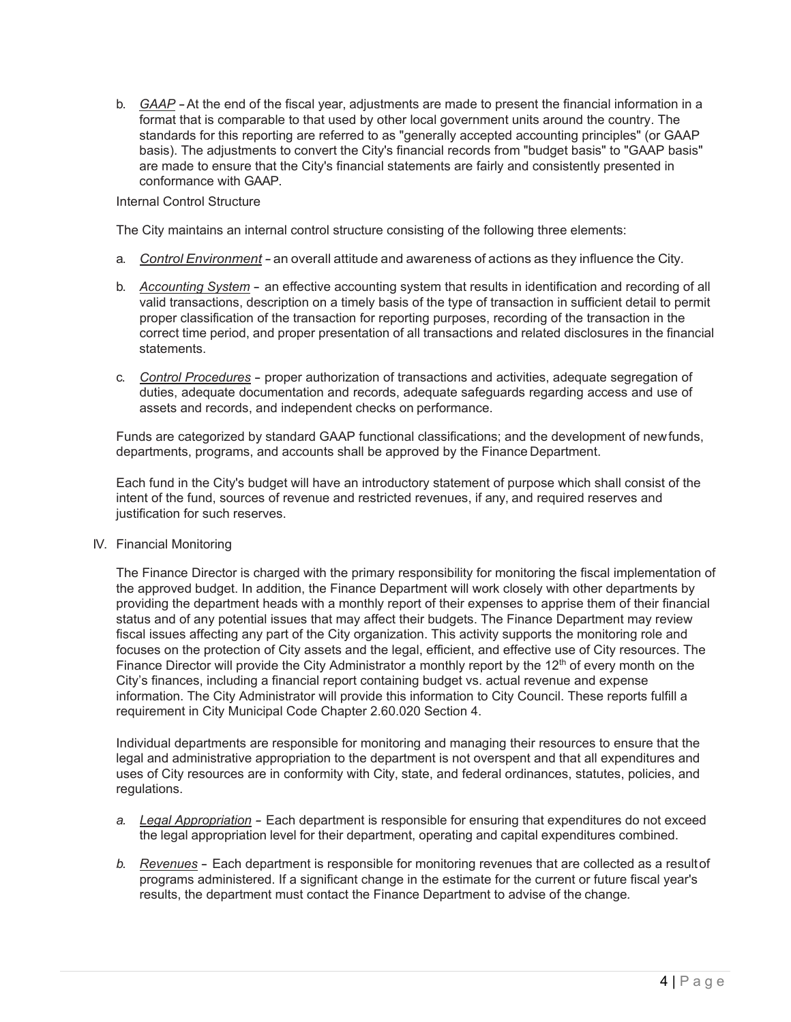b. *GAAP* -At the end of the fiscal year, adjustments are made to present the financial information in a format that is comparable to that used by other local government units around the country. The standards for this reporting are referred to as "generally accepted accounting principles" (or GAAP basis). The adjustments to convert the City's financial records from "budget basis" to "GAAP basis" are made to ensure that the City's financial statements are fairly and consistently presented in conformance with GAAP.

#### Internal Control Structure

The City maintains an internal control structure consisting of the following three elements:

- a. *Control Environment -* an overall attitude and awareness of actions as they influence the City.
- b. *Accounting System* an effective accounting system that results in identification and recording of all valid transactions, description on a timely basis of the type of transaction in sufficient detail to permit proper classification of the transaction for reporting purposes, recording of the transaction in the correct time period, and proper presentation of all transactions and related disclosures in the financial statements.
- c. *Control Procedures* proper authorization of transactions and activities, adequate segregation of duties, adequate documentation and records, adequate safeguards regarding access and use of assets and records, and independent checks on performance.

Funds are categorized by standard GAAP functional classifications; and the development of newfunds, departments, programs, and accounts shall be approved by the Finance Department.

Each fund in the City's budget will have an introductory statement of purpose which shall consist of the intent of the fund, sources of revenue and restricted revenues, if any, and required reserves and justification for such reserves.

IV. Financial Monitoring

The Finance Director is charged with the primary responsibility for monitoring the fiscal implementation of the approved budget. In addition, the Finance Department will work closely with other departments by providing the department heads with a monthly report of their expenses to apprise them of their financial status and of any potential issues that may affect their budgets. The Finance Department may review fiscal issues affecting any part of the City organization. This activity supports the monitoring role and focuses on the protection of City assets and the legal, efficient, and effective use of City resources. The Finance Director will provide the City Administrator a monthly report by the  $12<sup>th</sup>$  of every month on the City's finances, including a financial report containing budget vs. actual revenue and expense information. The City Administrator will provide this information to City Council. These reports fulfill a requirement in City Municipal Code Chapter 2.60.020 Section 4.

Individual departments are responsible for monitoring and managing their resources to ensure that the legal and administrative appropriation to the department is not overspent and that all expenditures and uses of City resources are in conformity with City, state, and federal ordinances, statutes, policies, and regulations.

- *a. Legal Appropriation -* Each department is responsible for ensuring that expenditures do not exceed the legal appropriation level for their department, operating and capital expenditures combined.
- *b. Revenues* Each department is responsible for monitoring revenues that are collected as a resultof programs administered. If a significant change in the estimate for the current or future fiscal year's results, the department must contact the Finance Department to advise of the change*.*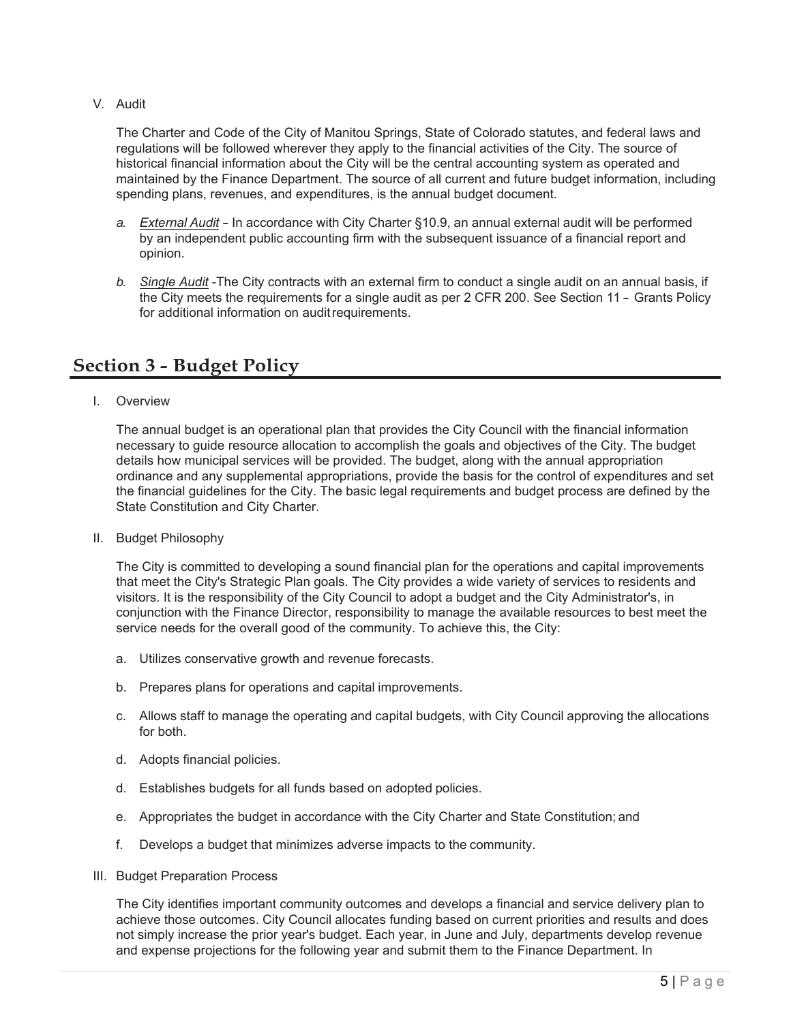V. Audit

The Charter and Code of the City of Manitou Springs, State of Colorado statutes, and federal laws and regulations will be followed wherever they apply to the financial activities of the City. The source of historical financial information about the City will be the central accounting system as operated and maintained by the Finance Department. The source of all current and future budget information, including spending plans, revenues, and expenditures, is the annual budget document.

- *a. External Audit* In accordance with City Charter §10.9, an annual external audit will be performed by an independent public accounting firm with the subsequent issuance of a financial report and opinion.
- *b. Single Audit* -The City contracts with an external firm to conduct a single audit on an annual basis, if the City meets the requirements for a single audit as per 2 CFR 200. See Section 11 - Grants Policy for additional information on auditrequirements.

## **Section 3 - Budget Policy**

I. Overview

The annual budget is an operational plan that provides the City Council with the financial information necessary to guide resource allocation to accomplish the goals and objectives of the City. The budget details how municipal services will be provided. The budget, along with the annual appropriation ordinance and any supplemental appropriations, provide the basis for the control of expenditures and set the financial guidelines for the City. The basic legal requirements and budget process are defined by the State Constitution and City Charter.

II. Budget Philosophy

The City is committed to developing a sound financial plan for the operations and capital improvements that meet the City's Strategic Plan goals. The City provides a wide variety of services to residents and visitors. It is the responsibility of the City Council to adopt a budget and the City Administrator's, in conjunction with the Finance Director, responsibility to manage the available resources to best meet the service needs for the overall good of the community. To achieve this, the City:

- a. Utilizes conservative growth and revenue forecasts.
- b. Prepares plans for operations and capital improvements.
- c. Allows staff to manage the operating and capital budgets, with City Council approving the allocations for both.
- d. Adopts financial policies.
- d. Establishes budgets for all funds based on adopted policies.
- e. Appropriates the budget in accordance with the City Charter and State Constitution; and
- f. Develops a budget that minimizes adverse impacts to the community.
- III. Budget Preparation Process

The City identifies important community outcomes and develops a financial and service delivery plan to achieve those outcomes. City Council allocates funding based on current priorities and results and does not simply increase the prior year's budget. Each year, in June and July, departments develop revenue and expense projections for the following year and submit them to the Finance Department. In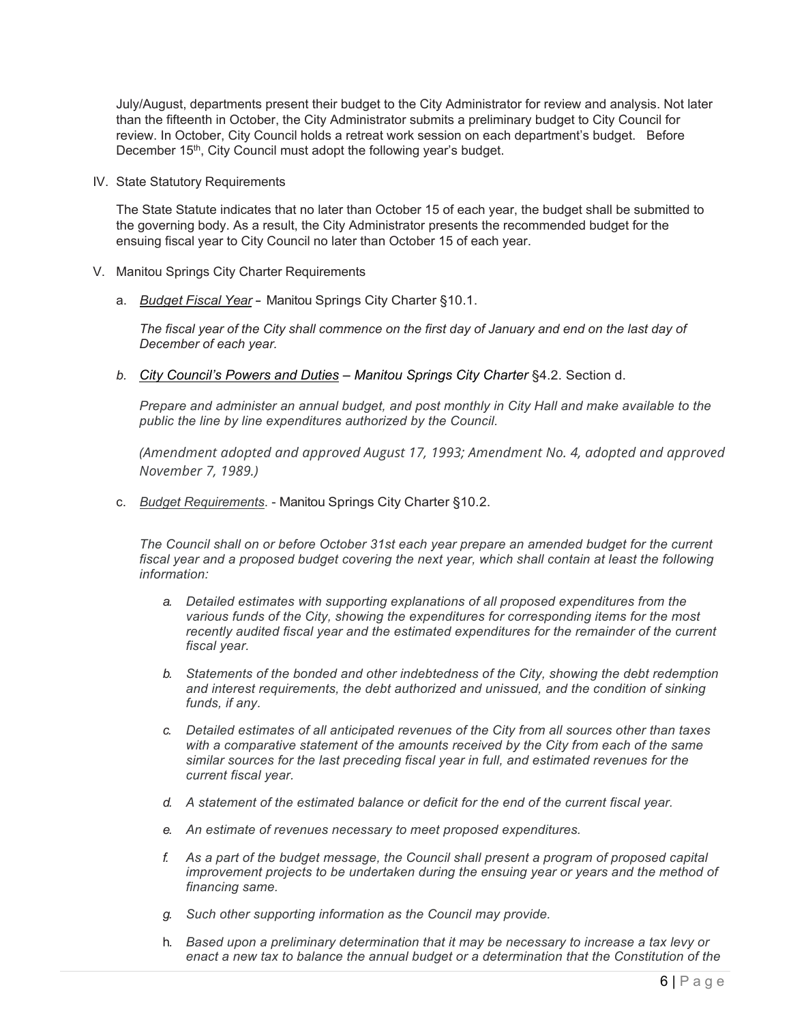July/August, departments present their budget to the City Administrator for review and analysis. Not later than the fifteenth in October, the City Administrator submits a preliminary budget to City Council for review. In October, City Council holds a retreat work session on each department's budget. Before December 15<sup>th</sup>, City Council must adopt the following year's budget.

IV. State Statutory Requirements

The State Statute indicates that no later than October 15 of each year, the budget shall be submitted to the governing body. As a result, the City Administrator presents the recommended budget for the ensuing fiscal year to City Council no later than October 15 of each year.

- V. Manitou Springs City Charter Requirements
	- a. *Budget Fiscal Year* Manitou Springs City Charter §10.1.

*The fiscal year of the City shall commence on the first day of January and end on the last day of December of each year.*

*b. City Council's Powers and Duties – Manitou Springs City Charter* §4.2. Section d.

*Prepare and administer an annual budget, and post monthly in City Hall and make available to the public the line by line expenditures authorized by the Council.*

*(Amendment adopted and approved August 17, 1993; Amendment No. 4, adopted and approved November 7, 1989.)*

c. *Budget Requirements*. - Manitou Springs City Charter §10.2.

*The Council shall on or before October 31st each year prepare an amended budget for the current fiscal year and a proposed budget covering the next year, which shall contain at least the following information:*

- *a. Detailed estimates with supporting explanations of all proposed expenditures from the various funds of the City, showing the expenditures for corresponding items for the most recently audited fiscal year and the estimated expenditures for the remainder of the current fiscal year.*
- *b. Statements of the bonded and other indebtedness of the City, showing the debt redemption and interest requirements, the debt authorized and unissued, and the condition of sinking funds, if any.*
- *c. Detailed estimates of all anticipated revenues of the City from all sources other than taxes with a comparative statement of the amounts received by the City from each of the same similar sources for the last preceding fiscal year in full, and estimated revenues for the current fiscal year.*
- *d. A statement of the estimated balance or deficit for the end of the current fiscal year.*
- *e. An estimate of revenues necessary to meet proposed expenditures.*
- *f. As a part of the budget message, the Council shall present a program of proposed capital improvement projects to be undertaken during the ensuing year or years and the method of financing same.*
- *g. Such other supporting information as the Council may provide.*
- h. *Based upon a preliminary determination that it may be necessary to increase a tax levy or enact a new tax to balance the annual budget or a determination that the Constitution of the*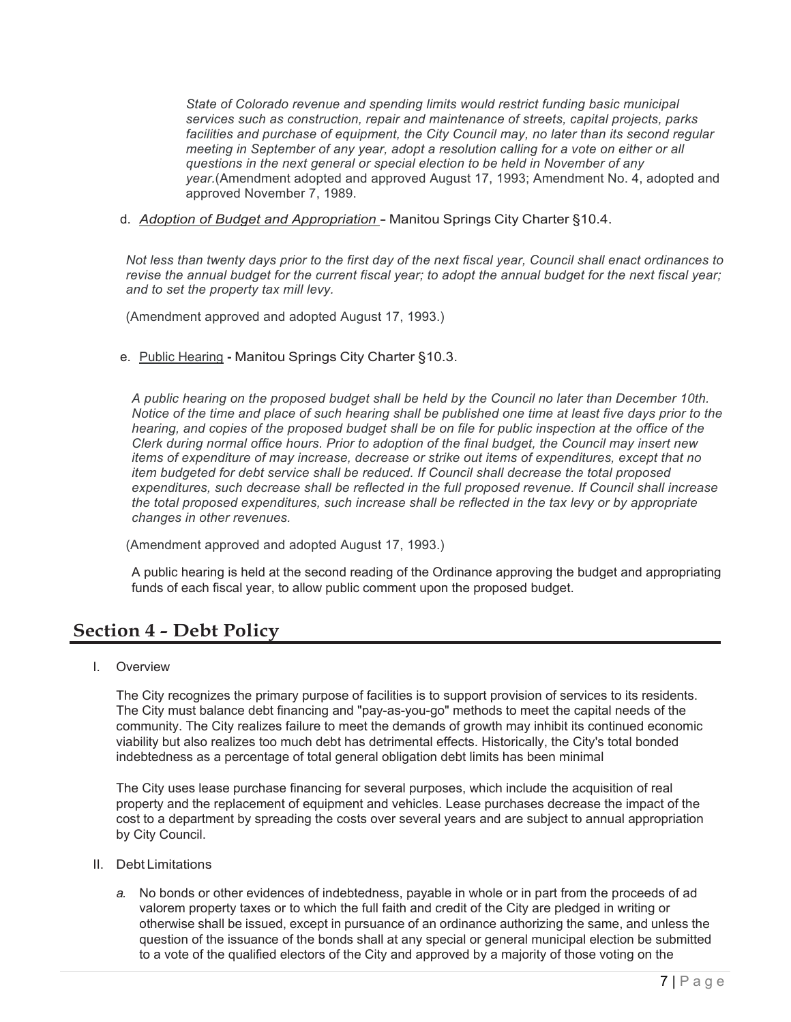*State of Colorado revenue and spending limits would restrict funding basic municipal services such as construction, repair and maintenance of streets, capital projects, parks facilities and purchase of equipment, the City Council may, no later than its second regular meeting in September of any year, adopt a resolution calling for a vote on either or all questions in the next general or special election to be held in November of any year.*(Amendment adopted and approved August 17, 1993; Amendment No. 4, adopted and approved November 7, 1989.

d. *Adoption of Budget and Appropriation* - Manitou Springs City Charter §10.4.

*Not less than twenty days prior to the first day of the next fiscal year, Council shall enact ordinances to revise the annual budget for the current fiscal year; to adopt the annual budget for the next fiscal year; and to set the property tax mill levy.*

(Amendment approved and adopted August 17, 1993.)

e. Public Hearing **-** Manitou Springs City Charter §10.3.

*A public hearing on the proposed budget shall be held by the Council no later than December 10th. Notice of the time and place of such hearing shall be published one time at least five days prior to the hearing, and copies of the proposed budget shall be on file for public inspection at the office of the Clerk during normal office hours. Prior to adoption of the final budget, the Council may insert new items of expenditure of may increase, decrease or strike out items of expenditures, except that no item budgeted for debt service shall be reduced. If Council shall decrease the total proposed expenditures, such decrease shall be reflected in the full proposed revenue. If Council shall increase the total proposed expenditures, such increase shall be reflected in the tax levy or by appropriate changes in other revenues.*

(Amendment approved and adopted August 17, 1993.)

A public hearing is held at the second reading of the Ordinance approving the budget and appropriating funds of each fiscal year, to allow public comment upon the proposed budget.

# **Section 4 - Debt Policy**

I. Overview

The City recognizes the primary purpose of facilities is to support provision of services to its residents. The City must balance debt financing and "pay-as-you-go" methods to meet the capital needs of the community. The City realizes failure to meet the demands of growth may inhibit its continued economic viability but also realizes too much debt has detrimental effects. Historically, the City's total bonded indebtedness as a percentage of total general obligation debt limits has been minimal

The City uses lease purchase financing for several purposes, which include the acquisition of real property and the replacement of equipment and vehicles. Lease purchases decrease the impact of the cost to a department by spreading the costs over several years and are subject to annual appropriation by City Council.

- II. Debt Limitations
	- *a.* No bonds or other evidences of indebtedness, payable in whole or in part from the proceeds of ad valorem property taxes or to which the full faith and credit of the City are pledged in writing or otherwise shall be issued, except in pursuance of an ordinance authorizing the same, and unless the question of the issuance of the bonds shall at any special or general municipal election be submitted to a vote of the qualified electors of the City and approved by a majority of those voting on the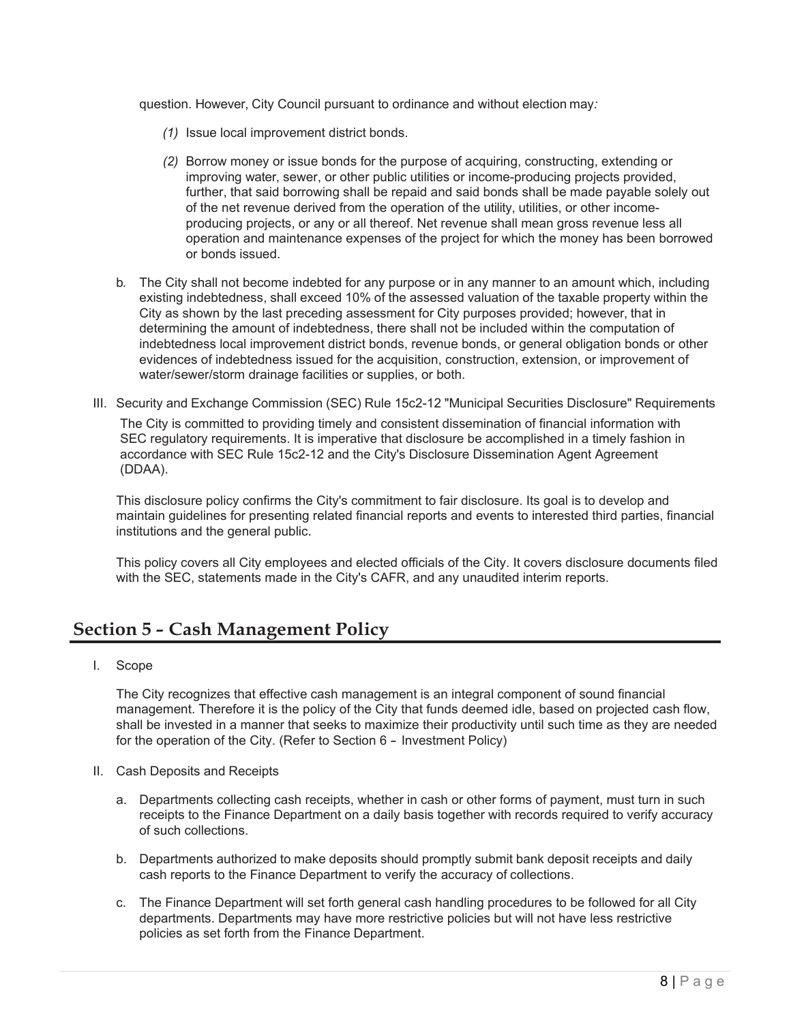question. However, City Council pursuant to ordinance and without election may*:*

- *(1)* Issue local improvement district bonds.
- *(2)* Borrow money or issue bonds for the purpose of acquiring, constructing, extending or improving water, sewer, or other public utilities or income-producing projects provided, further, that said borrowing shall be repaid and said bonds shall be made payable solely out of the net revenue derived from the operation of the utility, utilities, or other incomeproducing projects, or any or all thereof. Net revenue shall mean gross revenue less all operation and maintenance expenses of the project for which the money has been borrowed or bonds issued.
- b. The City shall not become indebted for any purpose or in any manner to an amount which, including existing indebtedness, shall exceed 10% of the assessed valuation of the taxable property within the City as shown by the last preceding assessment for City purposes provided; however, that in determining the amount of indebtedness, there shall not be included within the computation of indebtedness local improvement district bonds, revenue bonds, or general obligation bonds or other evidences of indebtedness issued for the acquisition, construction, extension, or improvement of water/sewer/storm drainage facilities or supplies, or both.
- III. Security and Exchange Commission (SEC) Rule 15c2-12 "Municipal Securities Disclosure" Requirements The City is committed to providing timely and consistent dissemination of financial information with SEC regulatory requirements. It is imperative that disclosure be accomplished in a timely fashion in accordance with SEC Rule 15c2-12 and the City's Disclosure Dissemination Agent Agreement (DDAA).

This disclosure policy confirms the City's commitment to fair disclosure. Its goal is to develop and maintain guidelines for presenting related financial reports and events to interested third parties, financial institutions and the general public.

This policy covers all City employees and elected officials of the City. It covers disclosure documents filed with the SEC, statements made in the City's CAFR, and any unaudited interim reports.

# **Section 5 - Cash Management Policy**

I. Scope

The City recognizes that effective cash management is an integral component of sound financial management. Therefore it is the policy of the City that funds deemed idle, based on projected cash flow, shall be invested in a manner that seeks to maximize their productivity until such time as they are needed for the operation of the City. (Refer to Section 6 - Investment Policy)

- II. Cash Deposits and Receipts
	- a. Departments collecting cash receipts, whether in cash or other forms of payment, must turn in such receipts to the Finance Department on a daily basis together with records required to verify accuracy of such collections.
	- b. Departments authorized to make deposits should promptly submit bank deposit receipts and daily cash reports to the Finance Department to verify the accuracy of collections.
	- c. The Finance Department will set forth general cash handling procedures to be followed for all City departments. Departments may have more restrictive policies but will not have less restrictive policies as set forth from the Finance Department.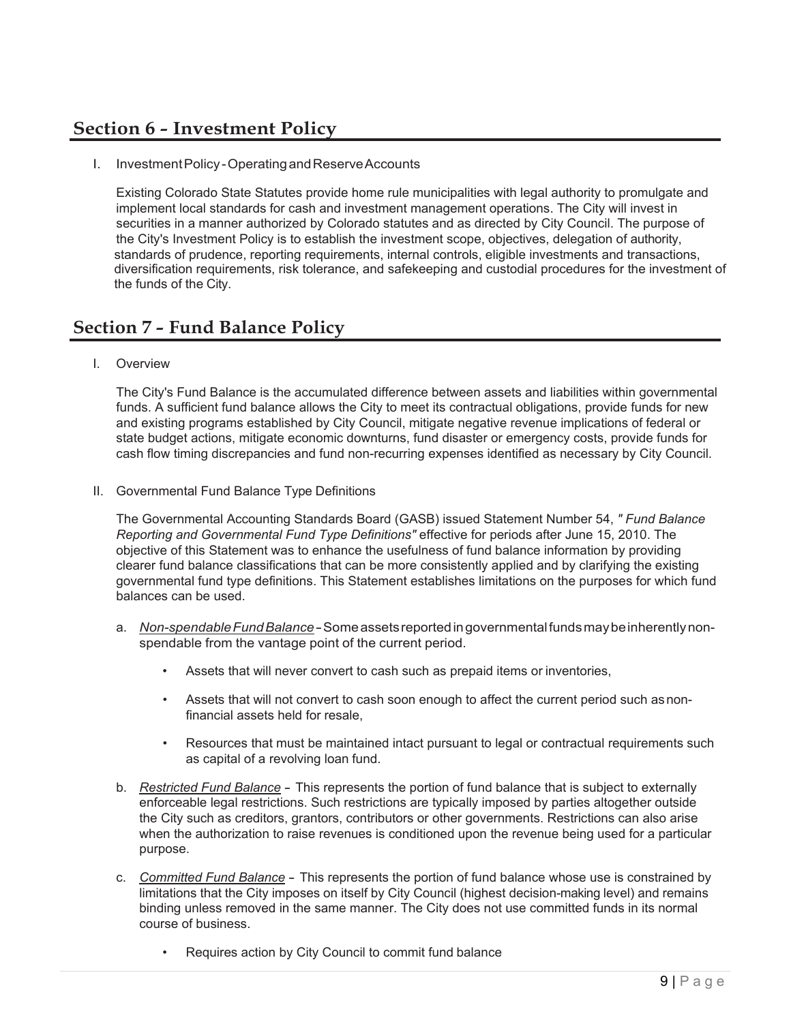# **Section 6 - Investment Policy**

I. InvestmentPolicy-OperatingandReserveAccounts

Existing Colorado State Statutes provide home rule municipalities with legal authority to promulgate and implement local standards for cash and investment management operations. The City will invest in securities in a manner authorized by Colorado statutes and as directed by City Council. The purpose of the City's Investment Policy is to establish the investment scope, objectives, delegation of authority, standards of prudence, reporting requirements, internal controls, eligible investments and transactions, diversification requirements, risk tolerance, and safekeeping and custodial procedures for the investment of the funds of the City.

## **Section 7 - Fund Balance Policy**

I. Overview

The City's Fund Balance is the accumulated difference between assets and liabilities within governmental funds. A sufficient fund balance allows the City to meet its contractual obligations, provide funds for new and existing programs established by City Council, mitigate negative revenue implications of federal or state budget actions, mitigate economic downturns, fund disaster or emergency costs, provide funds for cash flow timing discrepancies and fund non-recurring expenses identified as necessary by City Council.

II. Governmental Fund Balance Type Definitions

The Governmental Accounting Standards Board (GASB) issued Statement Number 54, *" Fund Balance Reporting and Governmental Fund Type Definitions"* effective for periods after June 15, 2010. The objective of this Statement was to enhance the usefulness of fund balance information by providing clearer fund balance classifications that can be more consistently applied and by clarifying the existing governmental fund type definitions. This Statement establishes limitations on the purposes for which fund balances can be used.

- a. *Non-spendable Fund Balance* Some assets reported in governmental funds may be inherently nonspendable from the vantage point of the current period.
	- Assets that will never convert to cash such as prepaid items or inventories,
	- Assets that will not convert to cash soon enough to affect the current period such asnonfinancial assets held for resale,
	- Resources that must be maintained intact pursuant to legal or contractual requirements such as capital of a revolving loan fund.
- b. *Restricted Fund Balance* This represents the portion of fund balance that is subject to externally enforceable legal restrictions. Such restrictions are typically imposed by parties altogether outside the City such as creditors, grantors, contributors or other governments. Restrictions can also arise when the authorization to raise revenues is conditioned upon the revenue being used for a particular purpose.
- c. *Committed Fund Balance* This represents the portion of fund balance whose use is constrained by limitations that the City imposes on itself by City Council (highest decision-making level) and remains binding unless removed in the same manner. The City does not use committed funds in its normal course of business.
	- Requires action by City Council to commit fund balance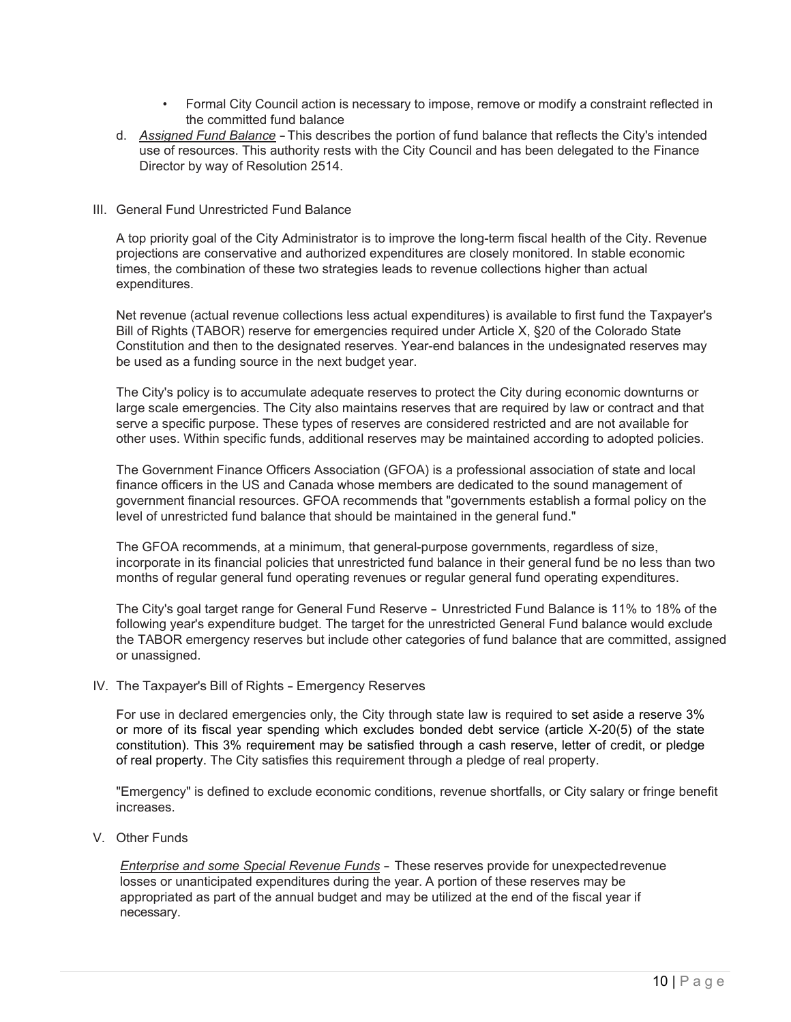- Formal City Council action is necessary to impose, remove or modify a constraint reflected in the committed fund balance
- d. *Assigned Fund Balance* -This describes the portion of fund balance that reflects the City's intended use of resources. This authority rests with the City Council and has been delegated to the Finance Director by way of Resolution 2514.
- III. General Fund Unrestricted Fund Balance

A top priority goal of the City Administrator is to improve the long-term fiscal health of the City. Revenue projections are conservative and authorized expenditures are closely monitored. In stable economic times, the combination of these two strategies leads to revenue collections higher than actual expenditures.

Net revenue (actual revenue collections less actual expenditures) is available to first fund the Taxpayer's Bill of Rights (TABOR) reserve for emergencies required under Article X, §20 of the Colorado State Constitution and then to the designated reserves. Year-end balances in the undesignated reserves may be used as a funding source in the next budget year.

The City's policy is to accumulate adequate reserves to protect the City during economic downturns or large scale emergencies. The City also maintains reserves that are required by law or contract and that serve a specific purpose. These types of reserves are considered restricted and are not available for other uses. Within specific funds, additional reserves may be maintained according to adopted policies.

The Government Finance Officers Association (GFOA) is a professional association of state and local finance officers in the US and Canada whose members are dedicated to the sound management of government financial resources. GFOA recommends that "governments establish a formal policy on the level of unrestricted fund balance that should be maintained in the general fund."

The GFOA recommends, at a minimum, that general-purpose governments, regardless of size, incorporate in its financial policies that unrestricted fund balance in their general fund be no less than two months of regular general fund operating revenues or regular general fund operating expenditures.

The City's goal target range for General Fund Reserve - Unrestricted Fund Balance is 11% to 18% of the following year's expenditure budget. The target for the unrestricted General Fund balance would exclude the TABOR emergency reserves but include other categories of fund balance that are committed, assigned or unassigned.

IV. The Taxpayer's Bill of Rights - Emergency Reserves

For use in declared emergencies only, the City through state law is required to set aside a reserve 3% or more of its fiscal year spending which excludes bonded debt service (article X-20(5) of the state constitution). This 3% requirement may be satisfied through a cash reserve, letter of credit, or pledge of real property. The City satisfies this requirement through a pledge of real property.

"Emergency" is defined to exclude economic conditions, revenue shortfalls, or City salary or fringe benefit increases.

V. Other Funds

*Enterprise and some Special Revenue Funds* - These reserves provide for unexpectedrevenue losses or unanticipated expenditures during the year. A portion of these reserves may be appropriated as part of the annual budget and may be utilized at the end of the fiscal year if necessary.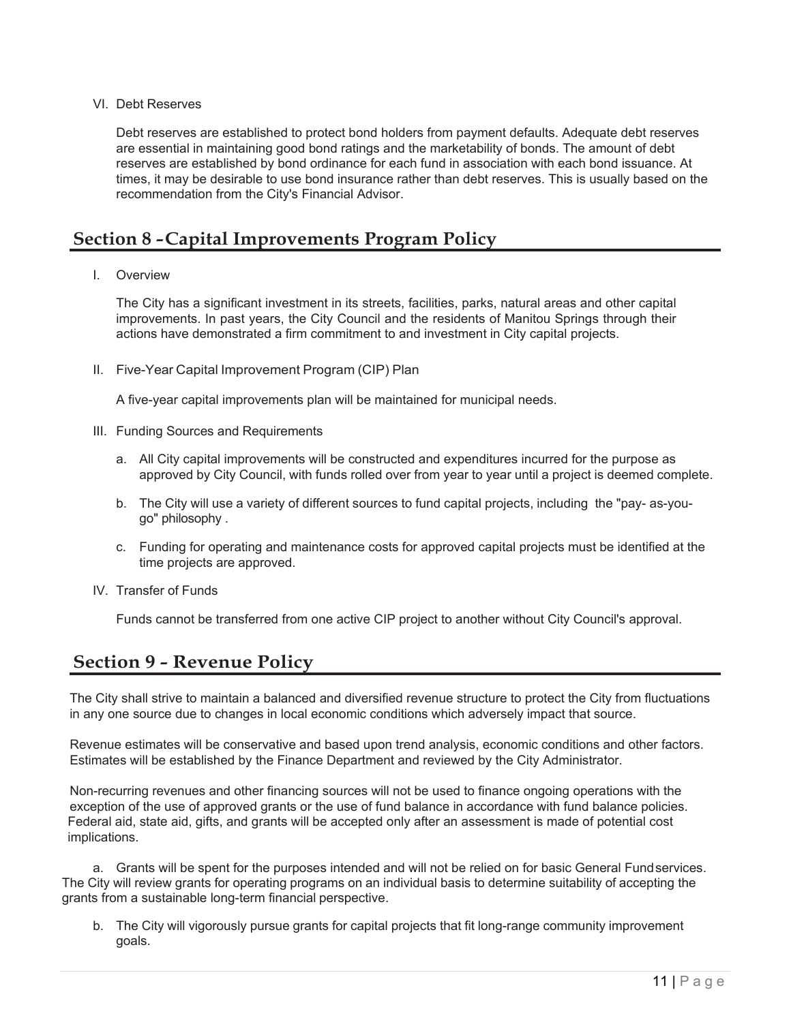#### VI. Debt Reserves

Debt reserves are established to protect bond holders from payment defaults. Adequate debt reserves are essential in maintaining good bond ratings and the marketability of bonds. The amount of debt reserves are established by bond ordinance for each fund in association with each bond issuance. At times, it may be desirable to use bond insurance rather than debt reserves. This is usually based on the recommendation from the City's Financial Advisor.

## **Section 8 -Capital Improvements Program Policy**

#### I. Overview

The City has a significant investment in its streets, facilities, parks, natural areas and other capital improvements. In past years, the City Council and the residents of Manitou Springs through their actions have demonstrated a firm commitment to and investment in City capital projects.

II. Five-Year Capital Improvement Program (CIP) Plan

A five-year capital improvements plan will be maintained for municipal needs.

- III. Funding Sources and Requirements
	- a. All City capital improvements will be constructed and expenditures incurred for the purpose as approved by City Council, with funds rolled over from year to year until a project is deemed complete.
	- b. The City will use a variety of different sources to fund capital projects, including the "pay- as-yougo" philosophy .
	- c. Funding for operating and maintenance costs for approved capital projects must be identified at the time projects are approved.
- IV. Transfer of Funds

Funds cannot be transferred from one active CIP project to another without City Council's approval.

## **Section 9 - Revenue Policy**

The City shall strive to maintain a balanced and diversified revenue structure to protect the City from fluctuations in any one source due to changes in local economic conditions which adversely impact that source.

Revenue estimates will be conservative and based upon trend analysis, economic conditions and other factors. Estimates will be established by the Finance Department and reviewed by the City Administrator.

Non-recurring revenues and other financing sources will not be used to finance ongoing operations with the exception of the use of approved grants or the use of fund balance in accordance with fund balance policies. Federal aid, state aid, gifts, and grants will be accepted only after an assessment is made of potential cost implications.

a. Grants will be spent for the purposes intended and will not be relied on for basic General Fundservices. The City will review grants for operating programs on an individual basis to determine suitability of accepting the grants from a sustainable long-term financial perspective.

b. The City will vigorously pursue grants for capital projects that fit long-range community improvement goals.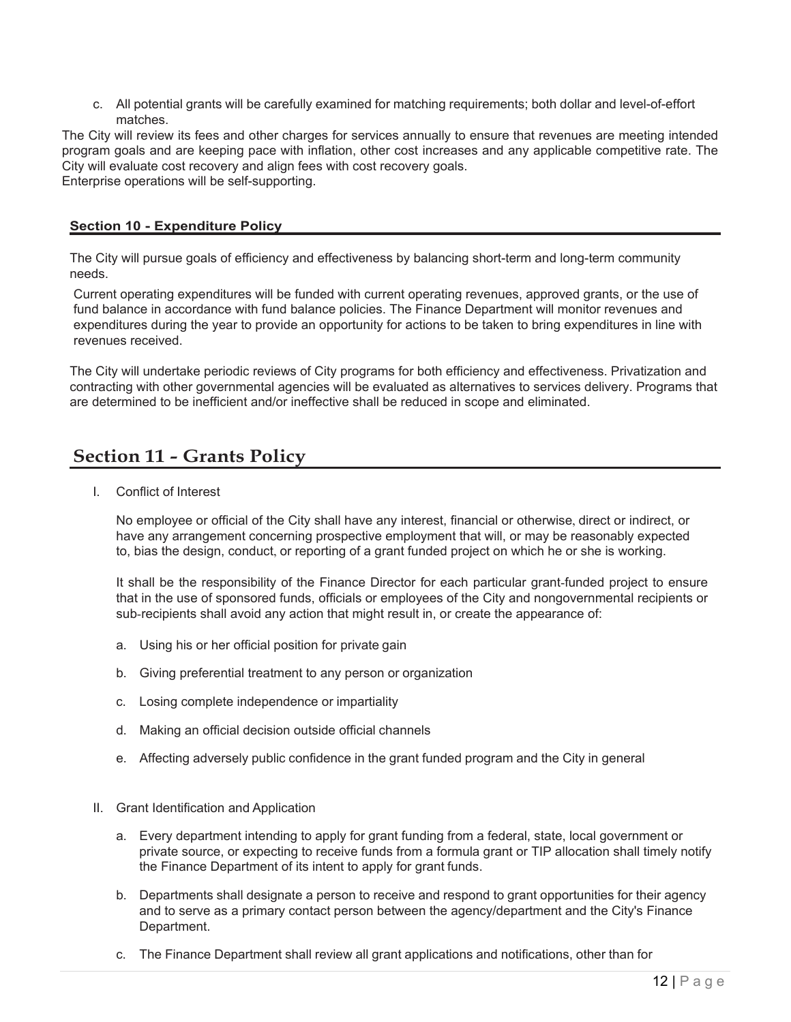c. All potential grants will be carefully examined for matching requirements; both dollar and level-of-effort matches.

The City will review its fees and other charges for services annually to ensure that revenues are meeting intended program goals and are keeping pace with inflation, other cost increases and any applicable competitive rate. The City will evaluate cost recovery and align fees with cost recovery goals. Enterprise operations will be self-supporting.

#### **Section 10 - Expenditure Policy**

The City will pursue goals of efficiency and effectiveness by balancing short-term and long-term community needs.

Current operating expenditures will be funded with current operating revenues, approved grants, or the use of fund balance in accordance with fund balance policies. The Finance Department will monitor revenues and expenditures during the year to provide an opportunity for actions to be taken to bring expenditures in line with revenues received.

The City will undertake periodic reviews of City programs for both efficiency and effectiveness. Privatization and contracting with other governmental agencies will be evaluated as alternatives to services delivery. Programs that are determined to be inefficient and/or ineffective shall be reduced in scope and eliminated.

### **Section 11 - Grants Policy**

I. Conflict of Interest

No employee or official of the City shall have any interest, financial or otherwise, direct or indirect, or have any arrangement concerning prospective employment that will, or may be reasonably expected to, bias the design, conduct, or reporting of a grant funded project on which he or she is working.

It shall be the responsibility of the Finance Director for each particular grant-funded project to ensure that in the use of sponsored funds, officials or employees of the City and nongovernmental recipients or sub-recipients shall avoid any action that might result in, or create the appearance of:

- a. Using his or her official position for private gain
- b. Giving preferential treatment to any person or organization
- c. Losing complete independence or impartiality
- d. Making an official decision outside official channels
- e. Affecting adversely public confidence in the grant funded program and the City in general
- II. Grant Identification and Application
	- a. Every department intending to apply for grant funding from a federal, state, local government or private source, or expecting to receive funds from a formula grant or TIP allocation shall timely notify the Finance Department of its intent to apply for grant funds.
	- b. Departments shall designate a person to receive and respond to grant opportunities for their agency and to serve as a primary contact person between the agency/department and the City's Finance Department.
	- c. The Finance Department shall review all grant applications and notifications, other than for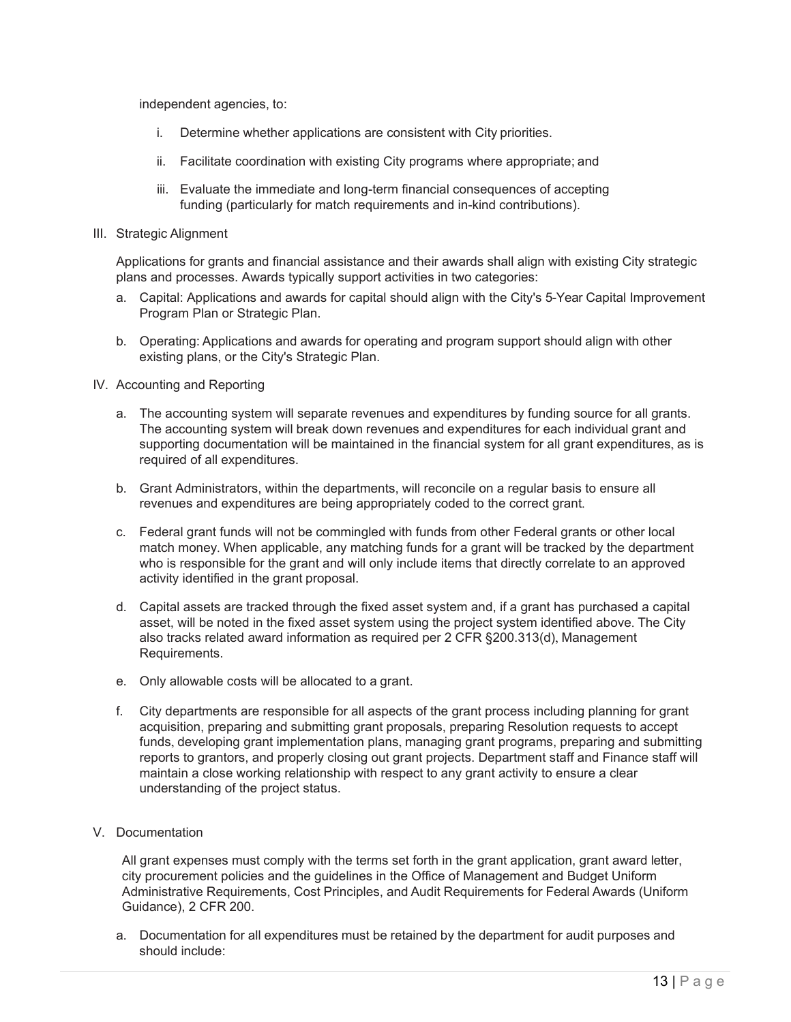independent agencies, to:

- i. Determine whether applications are consistent with City priorities.
- ii. Facilitate coordination with existing City programs where appropriate; and
- iii. Evaluate the immediate and long-term financial consequences of accepting funding (particularly for match requirements and in-kind contributions).
- III. Strategic Alignment

Applications for grants and financial assistance and their awards shall align with existing City strategic plans and processes. Awards typically support activities in two categories:

- a. Capital: Applications and awards for capital should align with the City's 5-Year Capital Improvement Program Plan or Strategic Plan.
- b. Operating: Applications and awards for operating and program support should align with other existing plans, or the City's Strategic Plan.
- IV. Accounting and Reporting
	- a. The accounting system will separate revenues and expenditures by funding source for all grants. The accounting system will break down revenues and expenditures for each individual grant and supporting documentation will be maintained in the financial system for all grant expenditures, as is required of all expenditures.
	- b. Grant Administrators, within the departments, will reconcile on a regular basis to ensure all revenues and expenditures are being appropriately coded to the correct grant.
	- c. Federal grant funds will not be commingled with funds from other Federal grants or other local match money. When applicable, any matching funds for a grant will be tracked by the department who is responsible for the grant and will only include items that directly correlate to an approved activity identified in the grant proposal.
	- d. Capital assets are tracked through the fixed asset system and, if a grant has purchased a capital asset, will be noted in the fixed asset system using the project system identified above. The City also tracks related award information as required per 2 CFR §200.313(d), Management Requirements.
	- e. Only allowable costs will be allocated to a grant.
	- f. City departments are responsible for all aspects of the grant process including planning for grant acquisition, preparing and submitting grant proposals, preparing Resolution requests to accept funds, developing grant implementation plans, managing grant programs, preparing and submitting reports to grantors, and properly closing out grant projects. Department staff and Finance staff will maintain a close working relationship with respect to any grant activity to ensure a clear understanding of the project status.
- V. Documentation

All grant expenses must comply with the terms set forth in the grant application, grant award letter, city procurement policies and the guidelines in the Office of Management and Budget Uniform Administrative Requirements, Cost Principles, and Audit Requirements for Federal Awards (Uniform Guidance), 2 CFR 200.

a. Documentation for all expenditures must be retained by the department for audit purposes and should include: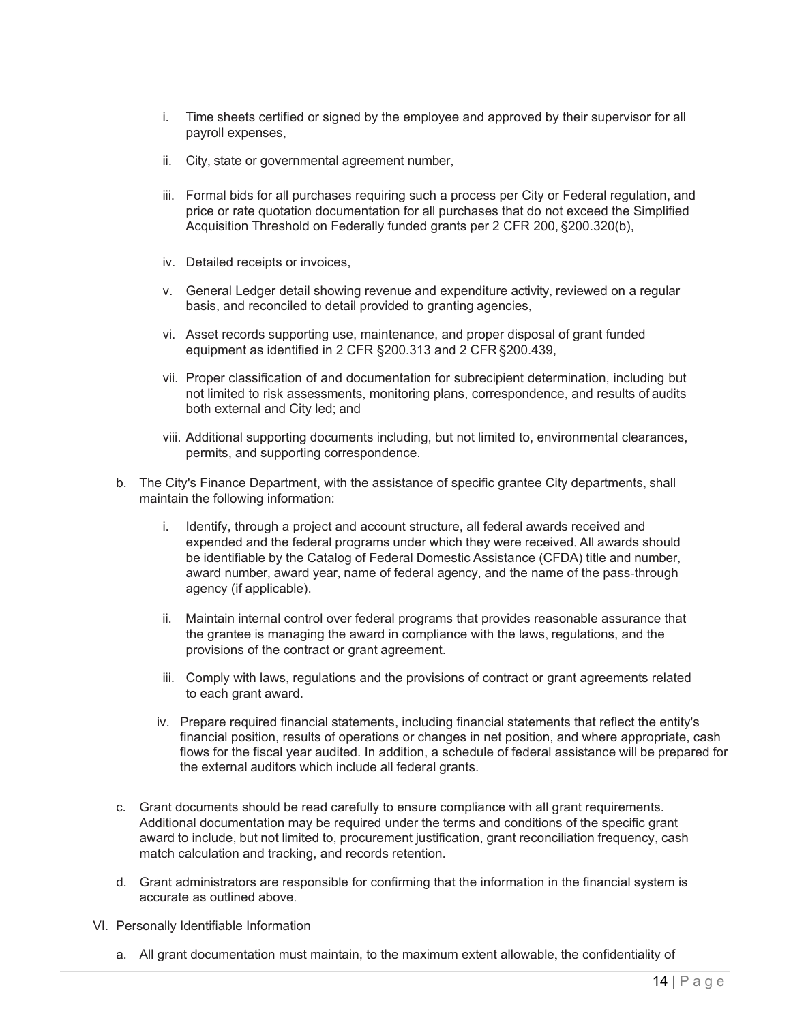- i. Time sheets certified or signed by the employee and approved by their supervisor for all payroll expenses,
- ii. City, state or governmental agreement number,
- iii. Formal bids for all purchases requiring such a process per City or Federal regulation, and price or rate quotation documentation for all purchases that do not exceed the Simplified Acquisition Threshold on Federally funded grants per 2 CFR 200, §200.320(b),
- iv. Detailed receipts or invoices,
- v. General Ledger detail showing revenue and expenditure activity, reviewed on a regular basis, and reconciled to detail provided to granting agencies,
- vi. Asset records supporting use, maintenance, and proper disposal of grant funded equipment as identified in 2 CFR §200.313 and 2 CFR §200.439,
- vii. Proper classification of and documentation for subrecipient determination, including but not limited to risk assessments, monitoring plans, correspondence, and results of audits both external and City led; and
- viii. Additional supporting documents including, but not limited to, environmental clearances, permits, and supporting correspondence.
- b. The City's Finance Department, with the assistance of specific grantee City departments, shall maintain the following information:
	- i. Identify, through a project and account structure, all federal awards received and expended and the federal programs under which they were received. All awards should be identifiable by the Catalog of Federal Domestic Assistance (CFDA) title and number, award number, award year, name of federal agency, and the name of the pass-through agency (if applicable).
	- ii. Maintain internal control over federal programs that provides reasonable assurance that the grantee is managing the award in compliance with the laws, regulations, and the provisions of the contract or grant agreement.
	- iii. Comply with laws, regulations and the provisions of contract or grant agreements related to each grant award.
	- iv. Prepare required financial statements, including financial statements that reflect the entity's financial position, results of operations or changes in net position, and where appropriate, cash flows for the fiscal year audited. In addition, a schedule of federal assistance will be prepared for the external auditors which include all federal grants.
- c. Grant documents should be read carefully to ensure compliance with all grant requirements. Additional documentation may be required under the terms and conditions of the specific grant award to include, but not limited to, procurement justification, grant reconciliation frequency, cash match calculation and tracking, and records retention.
- d. Grant administrators are responsible for confirming that the information in the financial system is accurate as outlined above.
- VI. Personally Identifiable Information
	- a. All grant documentation must maintain, to the maximum extent allowable, the confidentiality of